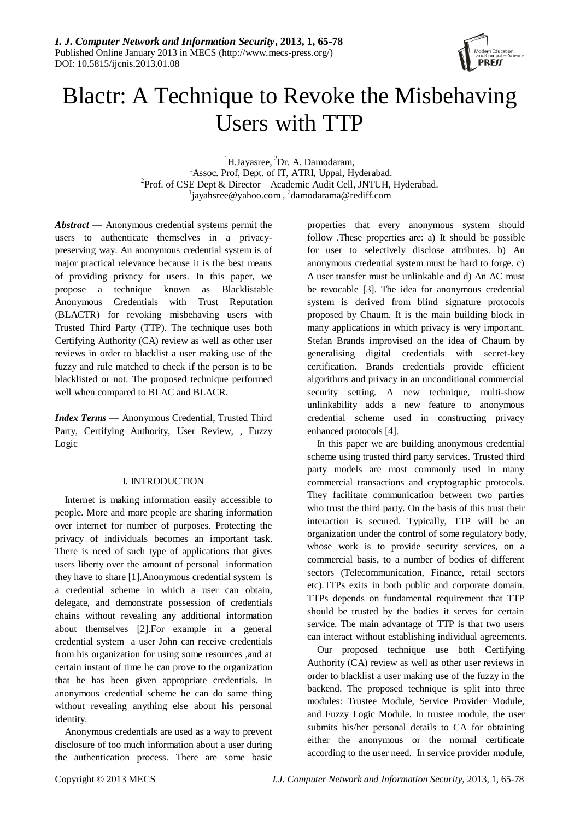

# Blactr: A Technique to Revoke the Misbehaving Users with TTP

 ${}^{1}$ H.Jayasree,  ${}^{2}$ Dr. A. Damodaram, <sup>1</sup>Assoc. Prof, Dept. of IT, ATRI, Uppal, Hyderabad. <sup>2</sup>Prof. of CSE Dept & Director – Academic Audit Cell, JNTUH, Hyderabad. <sup>1</sup>jayahsree@yahoo.com,<sup>2</sup>damodarama@rediff.com

*Abstract —* Anonymous credential systems permit the users to authenticate themselves in a privacypreserving way. An anonymous credential system is of major practical relevance because it is the best means of providing privacy for users. In this paper, we propose a technique known as Blacklistable Anonymous Credentials with Trust Reputation (BLACTR) for revoking misbehaving users with Trusted Third Party (TTP). The technique uses both Certifying Authority (CA) review as well as other user reviews in order to blacklist a user making use of the fuzzy and rule matched to check if the person is to be blacklisted or not. The proposed technique performed well when compared to BLAC and BLACR.

*Index Terms —* Anonymous Credential, Trusted Third Party, Certifying Authority, User Review, , Fuzzy Logic

## I. INTRODUCTION

Internet is making information easily accessible to people. More and more people are sharing information over internet for number of purposes. Protecting the privacy of individuals becomes an important task. There is need of such type of applications that gives users liberty over the amount of personal information they have to share [1].Anonymous credential system is a credential scheme in which a user can obtain, delegate, and demonstrate possession of credentials chains without revealing any additional information about themselves [2].For example in a general credential system a user John can receive credentials from his organization for using some resources ,and at certain instant of time he can prove to the organization that he has been given appropriate credentials. In anonymous credential scheme he can do same thing without revealing anything else about his personal identity.

Anonymous credentials are used as a way to prevent disclosure of too much information about a user during the authentication process. There are some basic

properties that every anonymous system should follow .These properties are: a) It should be possible for user to selectively disclose attributes. b) An anonymous credential system must be hard to forge. c) A user transfer must be unlinkable and d) An AC must be revocable [3]. The idea for anonymous credential system is derived from blind signature protocols proposed by Chaum. It is the main building block in many applications in which privacy is very important. Stefan Brands improvised on the idea of Chaum by generalising digital credentials with secret-key certification. Brands credentials provide efficient algorithms and privacy in an unconditional commercial security setting. A new technique, multi-show unlinkability adds a new feature to anonymous credential scheme used in constructing privacy enhanced protocols [4].

In this paper we are building anonymous credential scheme using trusted third party services. Trusted third party models are most commonly used in many commercial transactions and cryptographic protocols. They facilitate communication between two parties who trust the third party. On the basis of this trust their interaction is secured. Typically, TTP will be an organization under the control of some regulatory body, whose work is to provide security services, on a commercial basis, to a number of bodies of different sectors (Telecommunication, Finance, retail sectors etc).TTPs exits in both public and corporate domain. TTPs depends on fundamental requirement that TTP should be trusted by the bodies it serves for certain service. The main advantage of TTP is that two users can interact without establishing individual agreements.

Our proposed technique use both Certifying Authority (CA) review as well as other user reviews in order to blacklist a user making use of the fuzzy in the backend. The proposed technique is split into three modules: Trustee Module, Service Provider Module, and Fuzzy Logic Module. In trustee module, the user submits his/her personal details to CA for obtaining either the anonymous or the normal certificate according to the user need. In service provider module,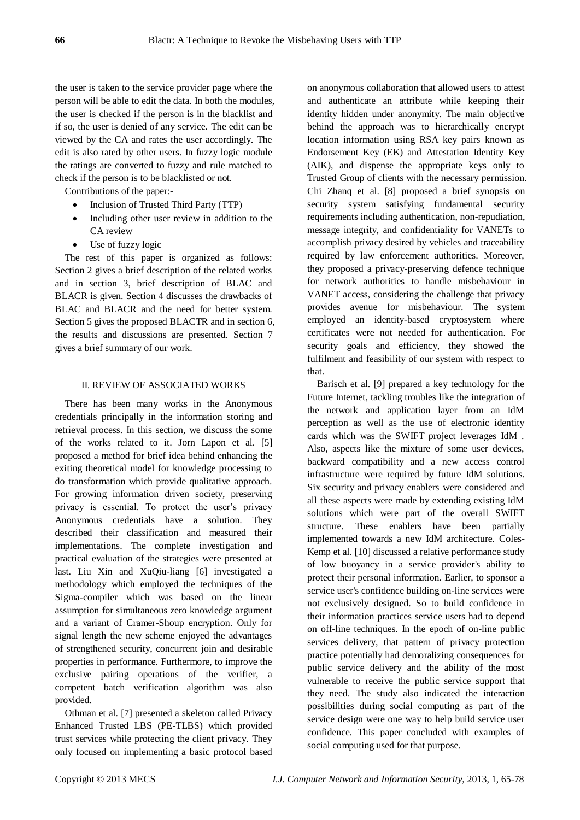the user is taken to the service provider page where the person will be able to edit the data. In both the modules, the user is checked if the person is in the blacklist and if so, the user is denied of any service. The edit can be viewed by the CA and rates the user accordingly. The edit is also rated by other users. In fuzzy logic module the ratings are converted to fuzzy and rule matched to check if the person is to be blacklisted or not.

Contributions of the paper:-

- Inclusion of Trusted Third Party (TTP)
- Including other user review in addition to the CA review
- Use of fuzzy logic

The rest of this paper is organized as follows: Section 2 gives a brief description of the related works and in section 3, brief description of BLAC and BLACR is given. Section 4 discusses the drawbacks of BLAC and BLACR and the need for better system. Section 5 gives the proposed BLACTR and in section 6, the results and discussions are presented. Section 7 gives a brief summary of our work.

#### II. REVIEW OF ASSOCIATED WORKS

There has been many works in the Anonymous credentials principally in the information storing and retrieval process. In this section, we discuss the some of the works related to it. Jorn Lapon et al. [5] proposed a method for brief idea behind enhancing the exiting theoretical model for knowledge processing to do transformation which provide qualitative approach. For growing information driven society, preserving privacy is essential. To protect the user's privacy Anonymous credentials have a solution. They described their classification and measured their implementations. The complete investigation and practical evaluation of the strategies were presented at last. Liu Xin and XuQiu-liang [6] investigated a methodology which employed the techniques of the Sigma-compiler which was based on the linear assumption for simultaneous zero knowledge argument and a variant of Cramer-Shoup encryption. Only for signal length the new scheme enjoyed the advantages of strengthened security, concurrent join and desirable properties in performance. Furthermore, to improve the exclusive pairing operations of the verifier, a competent batch verification algorithm was also provided.

Othman et al. [7] presented a skeleton called Privacy Enhanced Trusted LBS (PE-TLBS) which provided trust services while protecting the client privacy. They only focused on implementing a basic protocol based on anonymous collaboration that allowed users to attest and authenticate an attribute while keeping their identity hidden under anonymity. The main objective behind the approach was to hierarchically encrypt location information using RSA key pairs known as Endorsement Key (EK) and Attestation Identity Key (AIK), and dispense the appropriate keys only to Trusted Group of clients with the necessary permission. Chi Zhanq et al. [8] proposed a brief synopsis on security system satisfying fundamental security requirements including authentication, non-repudiation, message integrity, and confidentiality for VANETs to accomplish privacy desired by vehicles and traceability required by law enforcement authorities. Moreover, they proposed a privacy-preserving defence technique for network authorities to handle misbehaviour in VANET access, considering the challenge that privacy provides avenue for misbehaviour. The system employed an identity-based cryptosystem where certificates were not needed for authentication. For security goals and efficiency, they showed the fulfilment and feasibility of our system with respect to that.

Barisch et al. [9] prepared a key technology for the Future Internet, tackling troubles like the integration of the network and application layer from an IdM perception as well as the use of electronic identity cards which was the SWIFT project leverages IdM . Also, aspects like the mixture of some user devices, backward compatibility and a new access control infrastructure were required by future IdM solutions. Six security and privacy enablers were considered and all these aspects were made by extending existing IdM solutions which were part of the overall SWIFT structure. These enablers have been partially implemented towards a new IdM architecture. Coles-Kemp et al. [10] discussed a relative performance study of low buoyancy in a service provider's ability to protect their personal information. Earlier, to sponsor a service user's confidence building on-line services were not exclusively designed. So to build confidence in their information practices service users had to depend on off-line techniques. In the epoch of on-line public services delivery, that pattern of privacy protection practice potentially had demoralizing consequences for public service delivery and the ability of the most vulnerable to receive the public service support that they need. The study also indicated the interaction possibilities during social computing as part of the service design were one way to help build service user confidence. This paper concluded with examples of social computing used for that purpose.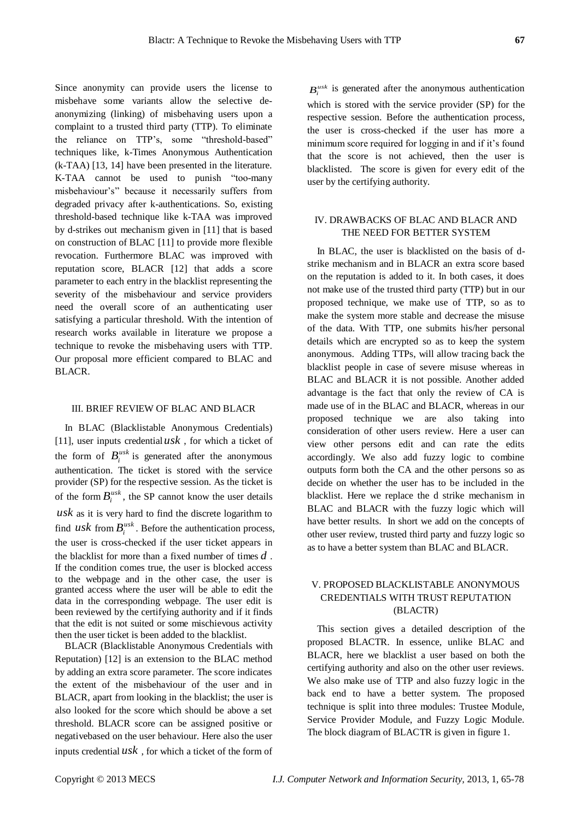Since anonymity can provide users the license to misbehave some variants allow the selective deanonymizing (linking) of misbehaving users upon a complaint to a trusted third party (TTP). To eliminate the reliance on TTP's, some "threshold-based" techniques like, k-Times Anonymous Authentication (k-TAA) [13, 14] have been presented in the literature. K-TAA cannot be used to punish "too-many misbehaviour's" because it necessarily suffers from degraded privacy after k-authentications. So, existing threshold-based technique like k-TAA was improved by d-strikes out mechanism given in [11] that is based on construction of BLAC [11] to provide more flexible revocation. Furthermore BLAC was improved with reputation score, BLACR [12] that adds a score parameter to each entry in the blacklist representing the severity of the misbehaviour and service providers need the overall score of an authenticating user satisfying a particular threshold. With the intention of research works available in literature we propose a technique to revoke the misbehaving users with TTP. Our proposal more efficient compared to BLAC and BLACR.

## III. BRIEF REVIEW OF BLAC AND BLACR

In BLAC (Blacklistable Anonymous Credentials) [11], user inputs credential *usk* , for which a ticket of the form of  $B_i^{u s k}$  is generated after the anonymous authentication. The ticket is stored with the service provider (SP) for the respective session. As the ticket is of the form  $B_i^{usk}$ , the SP cannot know the user details *usk* as it is very hard to find the discrete logarithm to find  $u$ sk from  $B_i^{u s k}$ . Before the authentication process, the user is cross-checked if the user ticket appears in the blacklist for more than a fixed number of times *d* . If the condition comes true, the user is blocked access to the webpage and in the other case, the user is granted access where the user will be able to edit the data in the corresponding webpage. The user edit is been reviewed by the certifying authority and if it finds that the edit is not suited or some mischievous activity then the user ticket is been added to the blacklist.

BLACR (Blacklistable Anonymous Credentials with Reputation) [12] is an extension to the BLAC method by adding an extra score parameter. The score indicates the extent of the misbehaviour of the user and in BLACR, apart from looking in the blacklist; the user is also looked for the score which should be above a set threshold. BLACR score can be assigned positive or negativebased on the user behaviour. Here also the user inputs credential *usk* , for which a ticket of the form of

 $B_i^{usk}$  is generated after the anonymous authentication which is stored with the service provider (SP) for the respective session. Before the authentication process, the user is cross-checked if the user has more a minimum score required for logging in and if it's found that the score is not achieved, then the user is blacklisted. The score is given for every edit of the user by the certifying authority.

## IV. DRAWBACKS OF BLAC AND BLACR AND THE NEED FOR BETTER SYSTEM

In BLAC, the user is blacklisted on the basis of dstrike mechanism and in BLACR an extra score based on the reputation is added to it. In both cases, it does not make use of the trusted third party (TTP) but in our proposed technique, we make use of TTP, so as to make the system more stable and decrease the misuse of the data. With TTP, one submits his/her personal details which are encrypted so as to keep the system anonymous. Adding TTPs, will allow tracing back the blacklist people in case of severe misuse whereas in BLAC and BLACR it is not possible. Another added advantage is the fact that only the review of CA is made use of in the BLAC and BLACR, whereas in our proposed technique we are also taking into consideration of other users review. Here a user can view other persons edit and can rate the edits accordingly. We also add fuzzy logic to combine outputs form both the CA and the other persons so as decide on whether the user has to be included in the blacklist. Here we replace the d strike mechanism in BLAC and BLACR with the fuzzy logic which will have better results. In short we add on the concepts of other user review, trusted third party and fuzzy logic so as to have a better system than BLAC and BLACR.

## V. PROPOSED BLACKLISTABLE ANONYMOUS CREDENTIALS WITH TRUST REPUTATION (BLACTR)

This section gives a detailed description of the proposed BLACTR. In essence, unlike BLAC and BLACR, here we blacklist a user based on both the certifying authority and also on the other user reviews. We also make use of TTP and also fuzzy logic in the back end to have a better system. The proposed technique is split into three modules: Trustee Module, Service Provider Module, and Fuzzy Logic Module. The block diagram of BLACTR is given in figure 1.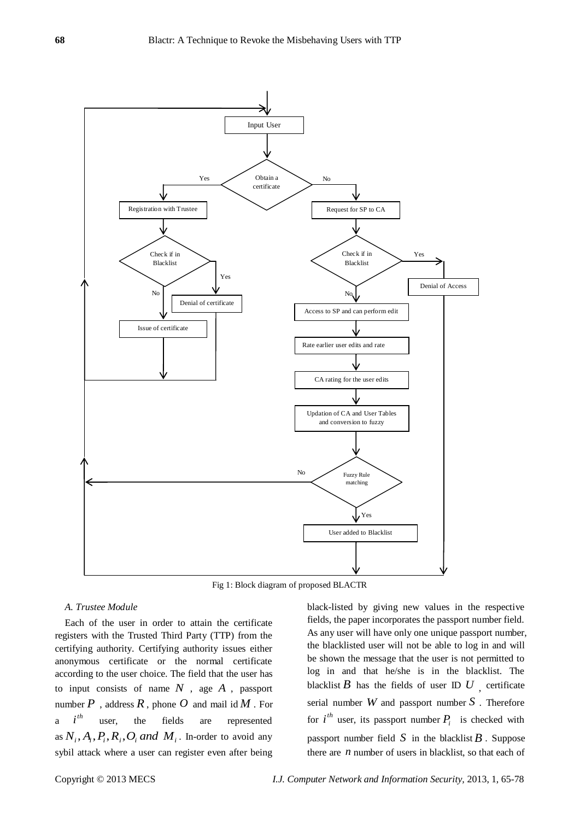

Fig 1: Block diagram of proposed BLACTR

## *A. Trustee Module*

Each of the user in order to attain the certificate registers with the Trusted Third Party (TTP) from the certifying authority. Certifying authority issues either anonymous certificate or the normal certificate according to the user choice. The field that the user has to input consists of name *N* , age *A* , passport number  $P$  , address  $R$ , phone  $O$  and mail id  $M$  . For a *th i* user, the fields are represented as  $N_i$ ,  $A_i$ ,  $P_i$ ,  $R_i$ ,  $O_i$  *and*  $M_i$ . In-order to avoid any sybil attack where a user can register even after being

black-listed by giving new values in the respective fields, the paper incorporates the passport number field. As any user will have only one unique passport number, the blacklisted user will not be able to log in and will be shown the message that the user is not permitted to log in and that he/she is in the blacklist. The blacklist  $B$  has the fields of user ID  $U$ , certificate serial number *W* and passport number *S* . Therefore for  $i^{th}$  user, its passport number  $P_i$  is checked with passport number field  $S$  in the blacklist  $B$ . Suppose there are  $n$  number of users in blacklist, so that each of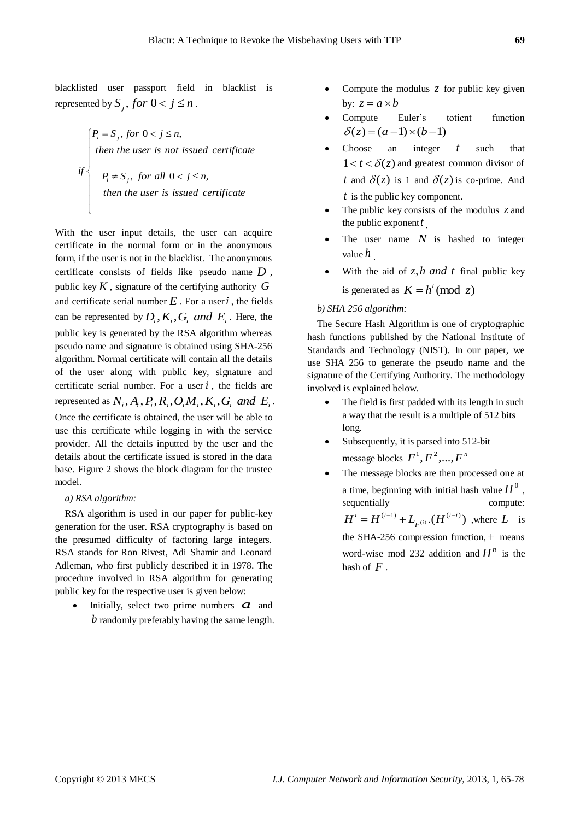blacklisted user passport field in blacklist is represented by  $S_j$ , *for*  $0 < j \le n$ .

> $\frac{1}{2}$  $\frac{1}{2}$  $\frac{1}{2}$  $\left| \right|$  $\left| \right|$  $\left| \right|$  $\left\{\n\begin{array}{ll}\nP_i \neq S_j, \text{ for all } 0 < j \leq \n\end{array}\n\right\}$  $\big(P_i = S_j, \text{ for } 0 < j \leq n,$ *then the user is issued certificate*  $P_i \neq S_j$ , for all  $0 < j \leq n$ *then the user is not issued certificate*  $if$   $\left\{\right\}$   $P_i \neq S_j$  $i - \theta_j$  $for all  $0 < j \leq n$ ,$

With the user input details, the user can acquire certificate in the normal form or in the anonymous form, if the user is not in the blacklist. The anonymous certificate consists of fields like pseudo name *D* , public key *K* , signature of the certifying authority *G* and certificate serial number  $E$ . For a user  $i$ , the fields can be represented by  $D_i$ ,  $K_i$ ,  $G_i$  *and*  $E_i$ . Here, the public key is generated by the RSA algorithm whereas pseudo name and signature is obtained using SHA-256 algorithm. Normal certificate will contain all the details of the user along with public key, signature and certificate serial number. For a user  $i$ , the fields are represented as  $N_i$ ,  $A_i$ ,  $P_i$ ,  $R_i$ ,  $O_i M_i$ ,  $K_i$ ,  $G_i$  and  $E_i$ . Once the certificate is obtained, the user will be able to use this certificate while logging in with the service provider. All the details inputted by the user and the details about the certificate issued is stored in the data base. Figure 2 shows the block diagram for the trustee model.

#### *a) RSA algorithm:*

 $\overline{\mathcal{L}}$ 

RSA algorithm is used in our paper for public-key generation for the user. RSA cryptography is based on the presumed difficulty of factoring large integers. RSA stands for Ron Rivest, Adi Shamir and Leonard Adleman, who first publicly described it in 1978. The procedure involved in RSA algorithm for generating public key for the respective user is given below:

• Initially, select two prime numbers  $\alpha$  and *b* randomly preferably having the same length.

- Compute the modulus z for public key given by:  $z = a \times b$
- Compute Euler's totient function  $\delta(z) = (a-1)\times(b-1)$
- Choose an integer *t* such that  $1 < t < \delta(z)$  and greatest common divisor of *t* and  $\delta(z)$  is 1 and  $\delta(z)$  is co-prime. And *t* is the public key component.
- The public key consists of the modulus z and the public exponent *t* .
- The user name N is hashed to integer value *h* .
- With the aid of *z*,*h and t* final public key is generated as  $K = h^t \pmod{z}$

#### *b) SHA 256 algorithm:*

The Secure Hash Algorithm is one of cryptographic hash functions published by the National Institute of Standards and Technology (NIST). In our paper, we use SHA 256 to generate the pseudo name and the signature of the Certifying Authority. The methodology involved is explained below.

- The field is first padded with its length in such a way that the result is a multiple of 512 bits long.
- Subsequently, it is parsed into 512-bit message blocks  $F^1, F^2, ..., F^n$
- The message blocks are then processed one at a time, beginning with initial hash value  $H^0$ , sequentially compute:  $\left( \begin{smallmatrix} (i-1) \ i-1 \end{smallmatrix} \right) + L_{_{F}(i)}.(H^{(i-i)})$  $H^{i} = H^{(i-1)} + L_{F^{(i)}} (H^{(i-i)})$ , where L is the SHA-256 compression function, means word-wise mod 232 addition and  $H^n$  is the hash of *F* .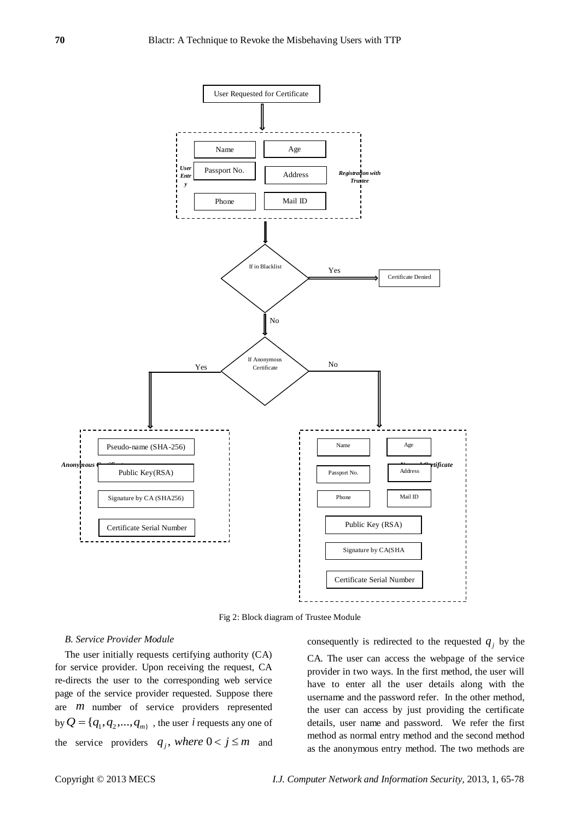

Fig 2: Block diagram of Trustee Module

#### *B. Service Provider Module*

The user initially requests certifying authority (CA) for service provider. Upon receiving the request, CA re-directs the user to the corresponding web service page of the service provider requested. Suppose there are *m* number of service providers represented by  $Q = \{q_1, q_2, ..., q_m\}$ , the user *i* requests any one of the service providers  $q_j$ , *where*  $0 < j \le m$  and

consequently is redirected to the requested  $q_j$  by the CA. The user can access the webpage of the service provider in two ways. In the first method, the user will have to enter all the user details along with the username and the password refer. In the other method, the user can access by just providing the certificate details, user name and password. We refer the first method as normal entry method and the second method as the anonymous entry method. The two methods are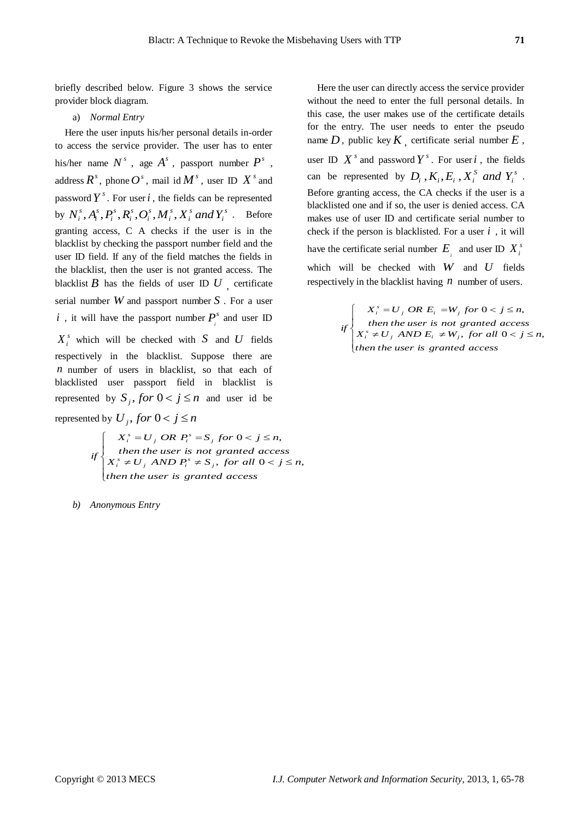briefly described below. Figure 3 shows the service provider block diagram.

#### a) *Normal Entry*

Here the user inputs his/her personal details in-order to access the service provider. The user has to enter his/her name  $N^s$ , age  $A^s$ , passport number  $P^s$ , address  $R^s$ , phone  $O^s$ , mail id  $M^s$ , user ID  $X^s$  and password  $Y^s$ . For user *i*, the fields can be represented by  $N_i^s, A_i^s, P_i^s, R_i^s, O_i^s, M_i^s, X_i^s$  and  $Y_i^s$ *i s i s i s i s i s i s*  $N_i^s$ ,  $A_i^s$ ,  $P_i^s$ ,  $R_i^s$ ,  $O_i^s$ ,  $M_i^s$ ,  $X_i^s$  *and*  $Y_i^s$ . Before granting access, C A checks if the user is in the blacklist by checking the passport number field and the user ID field. If any of the field matches the fields in the blacklist, then the user is not granted access. The blacklist  $B$  has the fields of user ID  $U$ , certificate serial number *W* and passport number *S* . For a user *i*, it will have the passport number  $P^s$  $P_i^s$  and user ID  $X_i^s$  which will be checked with S and U fields respectively in the blacklist. Suppose there are *n* number of users in blacklist, so that each of blacklisted user passport field in blacklist is represented by  $S_j$ , *for*  $0 < j \le n$  and user id be

represented by  $U_j$ , *for*  $0 < j \le n$ 

$$
if \begin{cases} X_i^s = U_j \text{ OR } P_i^s = S_j \text{ for } 0 < j \le n, \\ \text{ then the user is not granted access} \\ X_i^s \neq U_j \text{ AND } P_i^s \neq S_j, \text{ for all } 0 < j \le n, \\ \text{ then the user is granted access} \end{cases}
$$

*b) Anonymous Entry*

Here the user can directly access the service provider without the need to enter the full personal details. In this case, the user makes use of the certificate details for the entry. The user needs to enter the pseudo name  $D$ , public key  $K$ , certificate serial number  $E$ , user ID  $X^s$  and password  $Y^s$ . For user *i*, the fields can be represented by  $D_i$ ,  $K_i$ ,  $E_i$ ,  $X_i^S$  and  $Y_i^S$  $D_i$ ,  $K_i$ ,  $E_i$ ,  $X_i^S$  *and*  $Y_i^S$ . Before granting access, the CA checks if the user is a blacklisted one and if so, the user is denied access. CA makes use of user ID and certificate serial number to check if the person is blacklisted. For a user  $i$ , it will have the certificate serial number  $E_i$  and user ID  $X_i^s$ which will be checked with *W* and *U* fields respectively in the blacklist having  $n$  number of users.

> $\overline{\phantom{a}}$  $\overline{\phantom{a}}$  $\mathfrak{l}$  $\int$ ∤  $\sqrt{ }$  $\neq U_i$ , AND  $E_i \neq W_i$ , for all  $0 < j \leq$  $=U_i$  OR  $E_i$  =W<sub>i</sub> for  $0 < j \le$ *then the user is granted access*  $X_i^s \neq U_j$   $AND E_i \neq W_j$ , for all  $0 < j \leq n$ *then the user is not granted access*  $X_i^s = U_j$  *OR*  $E_i = W_j$  *for*  $0 < j \leq n$  $i$ *f*  $\left\{ X_i^s \neq U_j \text{ AND } E_i \neq W_j \right\}$  $j_i^s = U_j$  *OR*  $E_i = W_j$ , for all  $0 < j \leq n$ ,  $0 < j \leq n$ ,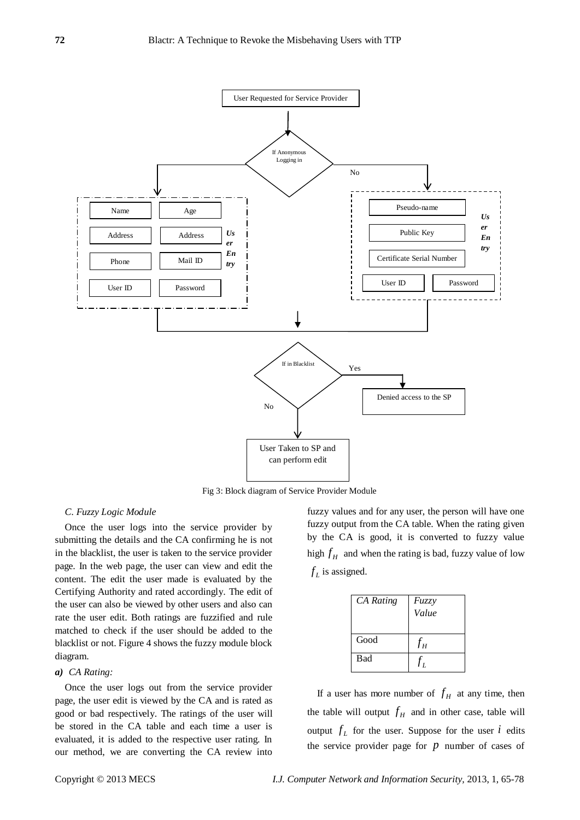

Fig 3: Block diagram of Service Provider Module

#### *C. Fuzzy Logic Module*

Once the user logs into the service provider by submitting the details and the CA confirming he is not in the blacklist, the user is taken to the service provider page. In the web page, the user can view and edit the content. The edit the user made is evaluated by the Certifying Authority and rated accordingly. The edit of the user can also be viewed by other users and also can rate the user edit. Both ratings are fuzzified and rule matched to check if the user should be added to the blacklist or not. Figure 4 shows the fuzzy module block diagram.

#### *a) CA Rating:*

Once the user logs out from the service provider page, the user edit is viewed by the CA and is rated as good or bad respectively. The ratings of the user will be stored in the CA table and each time a user is evaluated, it is added to the respective user rating. In our method, we are converting the CA review into fuzzy values and for any user, the person will have one fuzzy output from the CA table. When the rating given by the CA is good, it is converted to fuzzy value high  $f$ <sup> $H$ </sup> and when the rating is bad, fuzzy value of low  $f_L$  is assigned.

| <b>CA</b> Rating | Fuzzy<br>Value             |
|------------------|----------------------------|
| Good             | $f_{\scriptscriptstyle H}$ |
| <b>Bad</b>       |                            |

If a user has more number of  $f<sub>H</sub>$  at any time, then the table will output  $f<sub>H</sub>$  and in other case, table will output  $f_L$  for the user. Suppose for the user  $i$  edits the service provider page for  $p$  number of cases of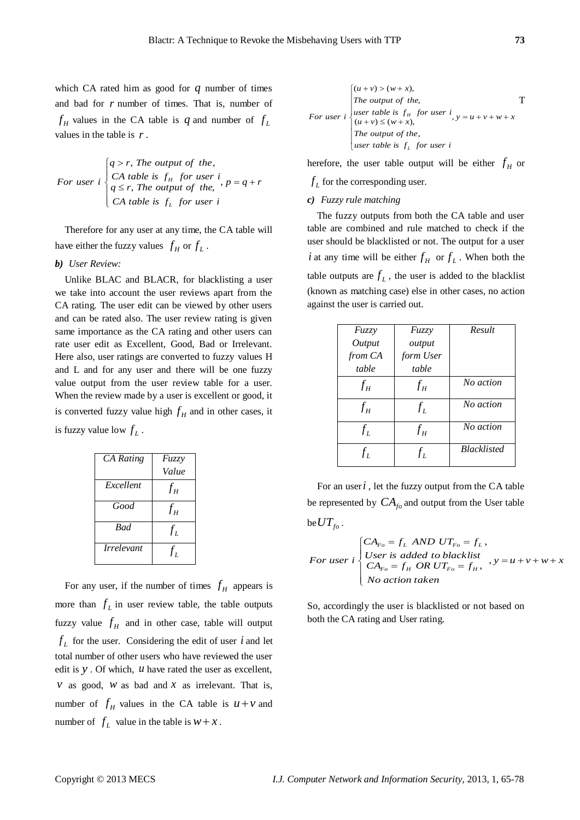which CA rated him as good for  $q$  number of times and bad for *r* number of times. That is, number of  $f_H$  values in the CA table is q and number of  $f_L$ values in the table is *r* .

For user 
$$
i
$$
  $\begin{cases} q > r, \text{ The output of the,} \\ CA \text{ table is } f_H \text{ for user } i, \\ q \leq r, \text{ The output of the, } \text{ the } i, \\ CA \text{ table is } f_L \text{ for user } i \end{cases}$ 

Therefore for any user at any time, the CA table will have either the fuzzy values  $f_H$  or  $f_L$ .

*b) User Review:*

Unlike BLAC and BLACR, for blacklisting a user we take into account the user reviews apart from the CA rating. The user edit can be viewed by other users and can be rated also. The user review rating is given same importance as the CA rating and other users can rate user edit as Excellent, Good, Bad or Irrelevant. Here also, user ratings are converted to fuzzy values H and L and for any user and there will be one fuzzy value output from the user review table for a user. When the review made by a user is excellent or good, it is converted fuzzy value high  $f<sub>H</sub>$  and in other cases, it is fuzzy value low  $f_L$ .

| <b>CA</b> Rating                | Fuzzy                      |
|---------------------------------|----------------------------|
|                                 | Value                      |
| Excellent                       | $f_H$                      |
| Good                            | $f_{\scriptscriptstyle H}$ |
| <b>Bad</b>                      | $f_L$                      |
| <i><u><b>Irrelevant</b></u></i> | $f_L$                      |

For any user, if the number of times  $f<sub>H</sub>$  appears is more than  $f_L$  in user review table, the table outputs fuzzy value  $f<sub>H</sub>$  and in other case, table will output  $f_L$  for the user. Considering the edit of user  $i$  and let total number of other users who have reviewed the user edit is  $y$ . Of which,  $u$  have rated the user as excellent, *v* as good, *w* as bad and *x* as irrelevant. That is, number of  $f_H$  values in the CA table is  $u + v$  and number of  $f_L$  value in the table is  $w + x$ .

For user 
$$
i
$$
 
$$
\begin{cases}\n(u+v) > (w+x), \\
\text{The output of the,} \\
user table is  $f_H \text{ for user } i, y = u+v+w+x \\
(u+v) \le (w+x), \\
\text{The output of the,} \\
user table is  $f_L \text{ for user } i\n\end{cases}$$
$$

herefore, the user table output will be either  $f_H$  or

 $f_L$  for the corresponding user.

## *c) Fuzzy rule matching*

The fuzzy outputs from both the CA table and user table are combined and rule matched to check if the user should be blacklisted or not. The output for a user *i* at any time will be either  $f_H$  or  $f_L$ . When both the table outputs are  $f_L$ , the user is added to the blacklist (known as matching case) else in other cases, no action against the user is carried out.

| Fuzzy   | Fuzzy     | Result             |
|---------|-----------|--------------------|
| Output  | output    |                    |
| from CA | form User |                    |
| table   | table     |                    |
| $f_H$   | $f_H$     | No action          |
| $f_H$   | $f_L$     | No action          |
| $f_L$   | $f_H$     | No action          |
| $f_L$   | $f_L$     | <b>Blacklisted</b> |

For an user  $i$ , let the fuzzy output from the CA table be represented by  $CA_{f_0}$  and output from the User table be  $UT_{fo}$  .

$$
For user i\n\begin{cases}\nCA_{F_o} = f_L \text{ AND } UT_{F_o} = f_L, \\
User \text{ is added to black list} \\
CA_{F_o} = f_H \text{ OR } UT_{F_o} = f_H, \\
No \text{ action taken}\n\end{cases}, y = u + v + w + x
$$

So, accordingly the user is blacklisted or not based on both the CA rating and User rating.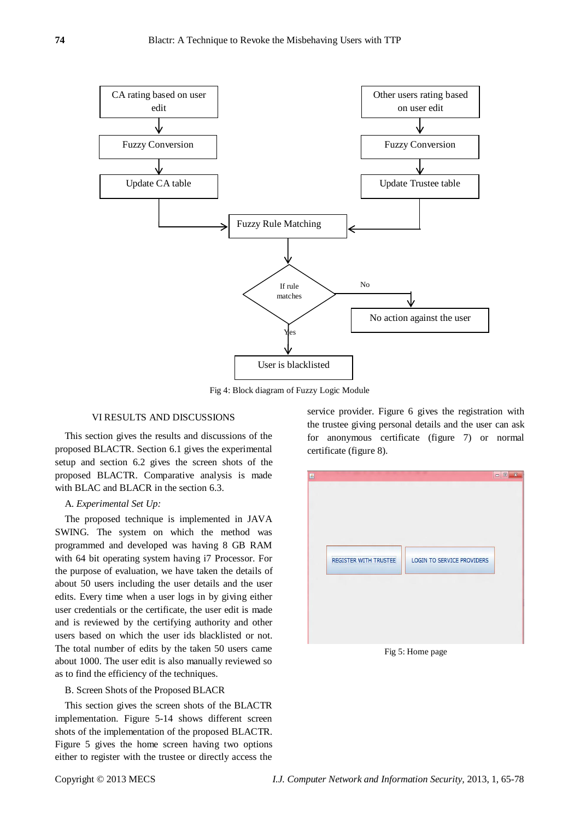

Fig 4: Block diagram of Fuzzy Logic Module

#### VI RESULTS AND DISCUSSIONS

This section gives the results and discussions of the proposed BLACTR. Section 6.1 gives the experimental setup and section 6.2 gives the screen shots of the proposed BLACTR. Comparative analysis is made with BLAC and BLACR in the section 6.3.

#### A. *Experimental Set Up:*

The proposed technique is implemented in JAVA SWING. The system on which the method was programmed and developed was having 8 GB RAM with 64 bit operating system having i7 Processor. For the purpose of evaluation, we have taken the details of about 50 users including the user details and the user edits. Every time when a user logs in by giving either user credentials or the certificate, the user edit is made and is reviewed by the certifying authority and other users based on which the user ids blacklisted or not. The total number of edits by the taken 50 users came about 1000. The user edit is also manually reviewed so as to find the efficiency of the techniques.

#### B. Screen Shots of the Proposed BLACR

This section gives the screen shots of the BLACTR implementation. Figure 5-14 shows different screen shots of the implementation of the proposed BLACTR. Figure 5 gives the home screen having two options either to register with the trustee or directly access the

service provider. Figure 6 gives the registration with the trustee giving personal details and the user can ask for anonymous certificate (figure 7) or normal certificate (figure 8).



Fig 5: Home page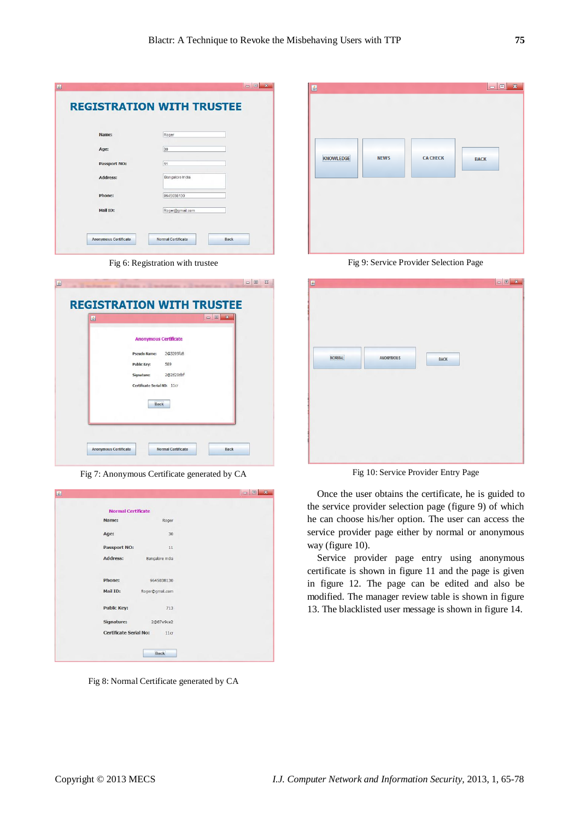| Name:               | Roger           |
|---------------------|-----------------|
| Age:                | 30              |
| <b>Passport NO:</b> | 11              |
| Address:            | Bangalore India |
| Phone:              | 9645038130      |
| Mail ID:            | Roger@gmail.com |

Fig 6: Registration with trustee

| 國 |                                  |  |
|---|----------------------------------|--|
|   | <b>Anonymous Certificate</b>     |  |
|   | 2@3209fa8<br><b>Pseudo Name:</b> |  |
|   | <b>Public Key:</b><br>589        |  |
|   | 2@2d20dbf<br>Signature:          |  |
|   | Certificate Serial NO: 11cr      |  |
|   | Back                             |  |
|   |                                  |  |
|   |                                  |  |

Fig 7: Anonymous Certificate generated by CA

|                                            | $= 5$<br>$\mathbf{z}$ |
|--------------------------------------------|-----------------------|
| <b>Normal Certificate</b>                  |                       |
| Name:<br>Roger                             |                       |
| 30<br>Age:                                 |                       |
| <b>Passport NO:</b><br>11                  |                       |
| Address:<br>Bangalore india                |                       |
|                                            |                       |
| <b>Phone:</b><br>9645038130                |                       |
| Mail ID:<br>Roger@gmail.com                |                       |
| <b>Public Key:</b><br>713                  |                       |
| Signature:<br>2@87e9ce2                    |                       |
| Certificate Serial No:<br>11 <sub>cr</sub> |                       |
| <b>Back</b>                                |                       |
|                                            |                       |

Fig 8: Normal Certificate generated by CA

| <b>KNOWLEDGE</b> | <b>NEWS</b> | <b>CA CHECK</b> | <b>BACK</b> |
|------------------|-------------|-----------------|-------------|
|                  |             |                 |             |

Fig 9: Service Provider Selection Page

| Ø                                                |  |
|--------------------------------------------------|--|
|                                                  |  |
|                                                  |  |
|                                                  |  |
|                                                  |  |
|                                                  |  |
|                                                  |  |
|                                                  |  |
|                                                  |  |
| <b>NORMAL</b><br><b>ANONYMOUS</b><br><b>BACK</b> |  |
|                                                  |  |
|                                                  |  |
|                                                  |  |
|                                                  |  |
|                                                  |  |
|                                                  |  |
|                                                  |  |
|                                                  |  |
|                                                  |  |
|                                                  |  |
|                                                  |  |
|                                                  |  |

Fig 10: Service Provider Entry Page

Once the user obtains the certificate, he is guided to the service provider selection page (figure 9) of which he can choose his/her option. The user can access the service provider page either by normal or anonymous way (figure 10).

Service provider page entry using anonymous certificate is shown in figure 11 and the page is given in figure 12. The page can be edited and also be modified. The manager review table is shown in figure 13. The blacklisted user message is shown in figure 14.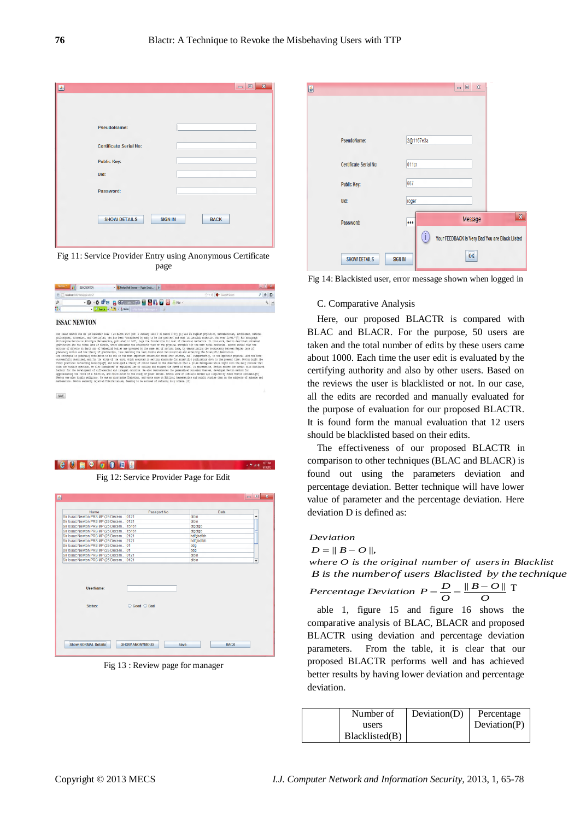| 國                             | $\mathbf{x}$<br>$\Box$<br>$\qquad \qquad \blacksquare$ |
|-------------------------------|--------------------------------------------------------|
|                               |                                                        |
|                               |                                                        |
| <b>PseudoName:</b>            |                                                        |
| <b>Certificate Serial No:</b> |                                                        |
| <b>Public Key:</b>            |                                                        |
| Uid:                          |                                                        |
|                               |                                                        |
| Password:                     |                                                        |
|                               |                                                        |
| <b>SHOW DETAILS</b>           | <b>SIGN IN</b><br><b>BACK</b>                          |
|                               |                                                        |
|                               |                                                        |

Fig 11: Service Provider Entry using Anonymous Certificate page

| Freitis * | <b>EXAMPLES</b> ISSAC NEWTON<br>$x = \frac{1}{2}$ Firefux Web Browser -- Plugin Check |                                       | $= 78$              |  |
|-----------|---------------------------------------------------------------------------------------|---------------------------------------|---------------------|--|
|           | localhest@Mil/WebApplication2/                                                        | <b>three</b> <del>●</del> SentiMSeath | $P$ $\triangle$ $D$ |  |
|           |                                                                                       |                                       |                     |  |
| C.        |                                                                                       |                                       |                     |  |

#### **ISSAC NEWTON**



SAVE

**CONOGOOO** 

Fig 12: Service Provider Page for Edit

| Sir Isaac Newton PRS MP (25 Decem 0121<br>dibin<br>٠<br>dibin<br>dfadfab<br>dfgdfgb<br>hdfgbdfbh<br>hdfabdfbh<br>dda<br>dda<br>dibin<br>dibin<br>÷<br>UserName:<br>Status:<br>Good Bad | Name | Passport No | Data |  |
|----------------------------------------------------------------------------------------------------------------------------------------------------------------------------------------|------|-------------|------|--|
| Sir Isaac Newton PRS MP (25 Decem 0121                                                                                                                                                 |      |             |      |  |
| Sir Isaac Newton PRS MP (25 Decem 15161<br>Sir Isaac Newton PRS MP (25 Decem 15161<br>Sir Isaac Newton PRS MP (25 Decem 2121<br>Sir Isaac Newton PRS MP (25 Decem 2121                 |      |             |      |  |
|                                                                                                                                                                                        |      |             |      |  |
|                                                                                                                                                                                        |      |             |      |  |
|                                                                                                                                                                                        |      |             |      |  |
| Sir Isaac Newton PRS MP (25 Decem 01<br>Sir Isaac Newton PRS MP (25 Decem 01<br>Sir Isaac Newton PRS MP (25 Decem 0121                                                                 |      |             |      |  |
|                                                                                                                                                                                        |      |             |      |  |
|                                                                                                                                                                                        |      |             |      |  |
| Sir Isaac Newton PRS MP (25 Decem 0121                                                                                                                                                 |      |             |      |  |
|                                                                                                                                                                                        |      |             |      |  |
|                                                                                                                                                                                        |      |             |      |  |
|                                                                                                                                                                                        |      |             |      |  |
|                                                                                                                                                                                        |      |             |      |  |
|                                                                                                                                                                                        |      |             |      |  |

Fig 13 : Review page for manager

| 鱼                             |                         | $\boldsymbol{\mathsf{X}}$<br>$\Box$            |             |
|-------------------------------|-------------------------|------------------------------------------------|-------------|
|                               |                         |                                                |             |
|                               |                         |                                                |             |
| <b>PseudoName:</b>            | 2@1167e3a               |                                                |             |
| <b>Certificate Serial No:</b> | 011cr                   |                                                |             |
| <b>Public Key:</b>            | 667                     |                                                |             |
| Uid:                          | roger                   |                                                |             |
| Password:                     | $\bullet\bullet\bullet$ | Message                                        | $\mathbf x$ |
|                               | (i                      | Your FEEDBACK is Very Bad You are Black Listed |             |
| <b>SHOW DETAILS</b>           | <b>SIGN IN</b>          | OK                                             |             |

Fig 14: Blackisted user, error message shown when logged in

#### C. Comparative Analysis

Here, our proposed BLACTR is compared with BLAC and BLACR. For the purpose, 50 users are taken and the total number of edits by these users came about 1000. Each time the user edit is evaluated by the certifying authority and also by other users. Based on the reviews the user is blacklisted or not. In our case, all the edits are recorded and manually evaluated for the purpose of evaluation for our proposed BLACTR. It is found form the manual evaluation that 12 users should be blacklisted based on their edits.

The effectiveness of our proposed BLACTR in comparison to other techniques (BLAC and BLACR) is found out using the parameters deviation and percentage deviation. Better technique will have lower value of parameter and the percentage deviation. Here deviation D is defined as:

## *Deviation*

 $x + 121$ 

$$
D=\parallel B-O\parallel,
$$

*where O is the original number of usersin Blacklist B is the numberof users Blaclisted by the technique O*  $B - O$ *O Percentage Deviation*  $P = \frac{D}{Q} = \frac{\Vert B - O \Vert}{Q}$  T

able 1, figure 15 and figure 16 shows the comparative analysis of BLAC, BLACR and proposed BLACTR using deviation and percentage deviation parameters. From the table, it is clear that our proposed BLACTR performs well and has achieved better results by having lower deviation and percentage deviation.

| Number of      | Deviation(D) | Percentage   |
|----------------|--------------|--------------|
| users          |              | Deviation(P) |
| Blacklisted(B) |              |              |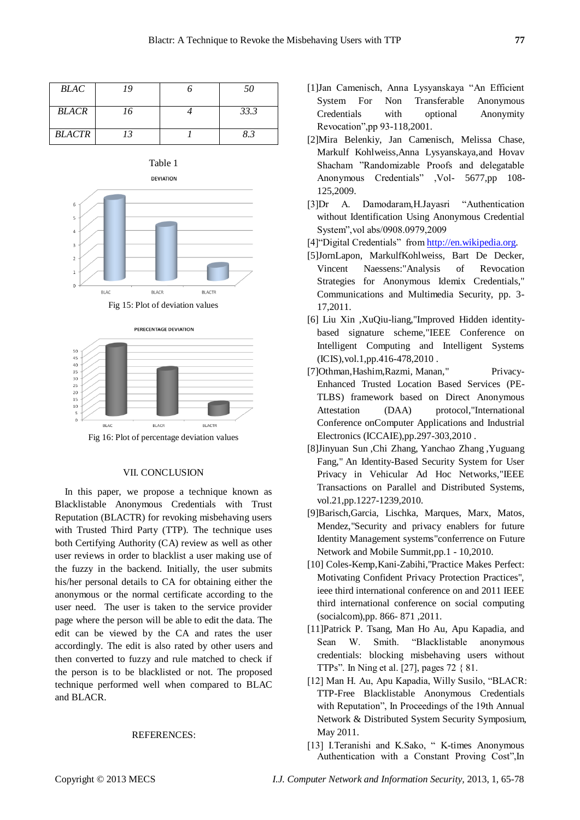| <b>BLAC</b>   | 19 | 50   |
|---------------|----|------|
| <b>BLACR</b>  | 16 | 33.3 |
| <b>BLACTR</b> | 13 | 8.3  |





Fig 16: Plot of percentage deviation values

### VII. CONCLUSION

In this paper, we propose a technique known as Blacklistable Anonymous Credentials with Trust Reputation (BLACTR) for revoking misbehaving users with Trusted Third Party (TTP). The technique uses both Certifying Authority (CA) review as well as other user reviews in order to blacklist a user making use of the fuzzy in the backend. Initially, the user submits his/her personal details to CA for obtaining either the anonymous or the normal certificate according to the user need. The user is taken to the service provider page where the person will be able to edit the data. The edit can be viewed by the CA and rates the user accordingly. The edit is also rated by other users and then converted to fuzzy and rule matched to check if the person is to be blacklisted or not. The proposed technique performed well when compared to BLAC and BLACR.

#### REFERENCES:

- [1]Jan Camenisch, Anna Lysyanskaya "An Efficient System For Non Transferable Anonymous Credentials with optional Anonymity Revocation",pp 93-118,2001.
- [2]Mira Belenkiy, Jan Camenisch, Melissa Chase, Markulf Kohlweiss,Anna Lysyanskaya,and Hovav Shacham "Randomizable Proofs and delegatable Anonymous Credentials" ,Vol- 5677,pp 108- 125,2009.
- [3]Dr A. Damodaram,H.Jayasri "Authentication without Identification Using Anonymous Credential System",vol abs/0908.0979,2009
- [4]"Digital Credentials" fro[m http://en.wikipedia.org.](http://en.wikipedia.org/)
- [5]JornLapon, MarkulfKohlweiss, Bart De Decker, Vincent Naessens:"Analysis of Revocation Strategies for Anonymous Idemix Credentials," Communications and Multimedia Security, pp. 3- 17,2011.
- [6] Liu Xin ,XuQiu-liang,"Improved Hidden identitybased signature scheme,"IEEE Conference on Intelligent Computing and Intelligent Systems (ICIS),vol.1,pp.416-478,2010 .
- [7]Othman,Hashim,Razmi, Manan," Privacy-Enhanced Trusted Location Based Services (PE-TLBS) framework based on Direct Anonymous Attestation (DAA) protocol,"International Conference onComputer Applications and Industrial Electronics (ICCAIE),pp.297-303,2010 .
- [8]Jinyuan Sun ,Chi Zhang, Yanchao Zhang ,Yuguang Fang," An Identity-Based Security System for User Privacy in Vehicular Ad Hoc Networks,"IEEE Transactions on Parallel and Distributed Systems, vol.21,pp.1227-1239,2010.
- [9]Barisch,Garcia, Lischka, Marques, Marx, Matos, Mendez,"Security and privacy enablers for future Identity Management systems"conferrence on Future Network and Mobile Summit,pp.1 - 10,2010.
- [10] Coles-Kemp,Kani-Zabihi,"Practice Makes Perfect: Motivating Confident Privacy Protection Practices", ieee third international conference on and 2011 IEEE third international conference on social computing (socialcom),pp. 866- 871 ,2011.
- [11]Patrick P. Tsang, Man Ho Au, Apu Kapadia, and Sean W. Smith. "Blacklistable anonymous credentials: blocking misbehaving users without TTPs". In Ning et al. [27], pages 72 { 81.
- [12] Man H. Au, Apu Kapadia, Willy Susilo, "BLACR: TTP-Free Blacklistable Anonymous Credentials with Reputation", In Proceedings of the 19th Annual Network & Distributed System Security Symposium, May 2011.
- [13] I.Teranishi and K.Sako, "K-times Anonymous Authentication with a Constant Proving Cost",In